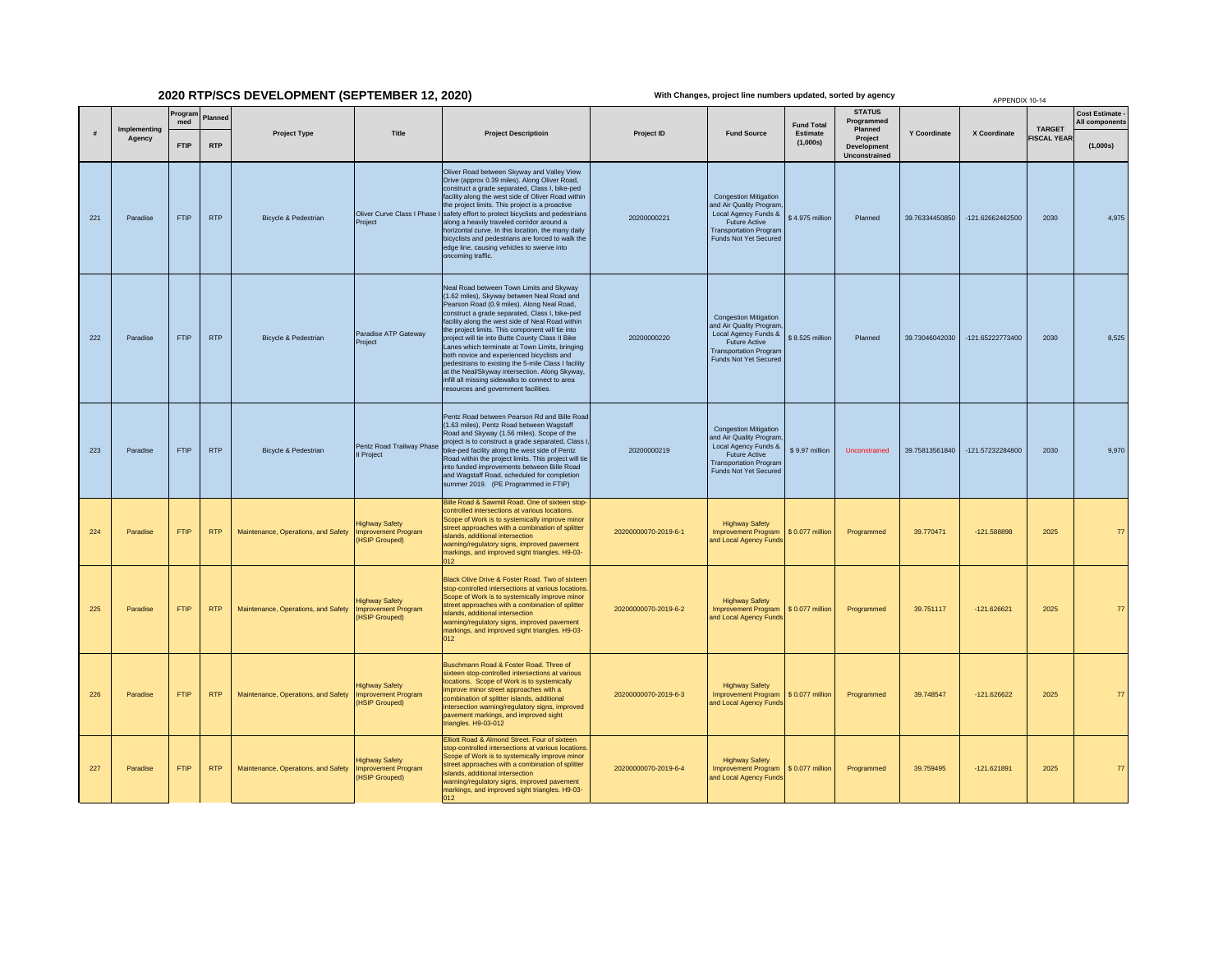## **2020 RTP/SCS DEVELOPMENT (SEPTEMBER 12, 2020)**

**With Changes, project line numbers updated, sorted by agency**

|     |     |                        |                |            |                                     |                                                                             |                                                                                                                                                                                                                                                                                                                                                                                                                                                                                                                                                                                                                                                        |                      |                                                                                                                                                                   |                      |                                                |                     | APPENDIX 10-14     |                    |                                        |
|-----|-----|------------------------|----------------|------------|-------------------------------------|-----------------------------------------------------------------------------|--------------------------------------------------------------------------------------------------------------------------------------------------------------------------------------------------------------------------------------------------------------------------------------------------------------------------------------------------------------------------------------------------------------------------------------------------------------------------------------------------------------------------------------------------------------------------------------------------------------------------------------------------------|----------------------|-------------------------------------------------------------------------------------------------------------------------------------------------------------------|----------------------|------------------------------------------------|---------------------|--------------------|--------------------|----------------------------------------|
| #   |     | Implementing<br>Agency | Program<br>med | Planned    | <b>Project Type</b>                 | Title                                                                       | <b>Project Descriptioin</b>                                                                                                                                                                                                                                                                                                                                                                                                                                                                                                                                                                                                                            | Project ID           |                                                                                                                                                                   | <b>Fund Total</b>    | <b>STATUS</b><br>Programmed<br>Planned         |                     |                    | <b>TARGET</b>      | <b>Cost Estimate</b><br>All components |
|     |     |                        | <b>FTIP</b>    | <b>RTP</b> |                                     |                                                                             |                                                                                                                                                                                                                                                                                                                                                                                                                                                                                                                                                                                                                                                        |                      | <b>Fund Source</b>                                                                                                                                                | Estimate<br>(1,000s) | Project<br><b>Development</b><br>Unconstrained | <b>Y Coordinate</b> | X Coordinate       | <b>FISCAL YEAR</b> | (1,000s)                               |
| 221 |     | Paradise               | <b>FTIP</b>    | <b>RTP</b> | Bicycle & Pedestrian                | Project                                                                     | Oliver Road between Skyway and Valley View<br>Drive (approx 0.39 miles). Along Oliver Road,<br>construct a grade separated, Class I, bike-ped<br>facility along the west side of Oliver Road within<br>the project limits. This project is a proactive<br>Oliver Curve Class I Phase I safety effort to protect bicyclists and pedestrians<br>along a heavily traveled corridor around a<br>horizontal curve. In this location, the many daily<br>bicyclists and pedestrians are forced to walk the<br>edge line, causing vehicles to swerve into<br>oncoming traffic.                                                                                 | 20200000221          | <b>Congestion Mitigation</b><br>and Air Quality Program<br>Local Agency Funds &<br>Future Active<br><b>Transportation Program</b><br>Funds Not Yet Secured        | \$4.975 million      | Planned                                        | 39.76334450850      | $-121.62662462500$ | 2030               | 4,975                                  |
|     | 222 | Paradise               | <b>FTIP</b>    | <b>RTP</b> | Bicycle & Pedestrian                | Paradise ATP Gateway<br>Project                                             | Neal Road between Town Limits and Skyway<br>(1.62 miles), Skyway between Neal Road and<br>Pearson Road (0.9 miles). Along Neal Road,<br>construct a grade separated, Class I, bike-ped<br>facility along the west side of Neal Road within<br>the project limits. This component will tie into<br>project will tie into Butte County Class II Bike<br>Lanes which terminate at Town Limits, bringing<br>both novice and experienced bicyclists and<br>pedestrians to existing the 5-mile Class I facility<br>at the Neal/Skyway intersection. Along Skyway,<br>infill all missing sidewalks to connect to area<br>resources and government facilities. | 20200000220          | <b>Congestion Mitigation</b><br>and Air Quality Program<br>Local Agency Funds &<br><b>Future Active</b><br><b>Transportation Program</b><br>Funds Not Yet Secured | \$8.525 million      | Planned                                        | 39.73046042030      | -121.65222773400   | 2030               | 8,525                                  |
|     | 223 | Paradise               | <b>FTIP</b>    | <b>RTP</b> | Bicycle & Pedestrian                | Il Project                                                                  | Pentz Road between Pearson Rd and Bille Road<br>(1.63 miles), Pentz Road between Wagstaff<br>Road and Skyway (1.56 miles). Scope of the<br>Pentz Road Trailway Phase project is to construct a grade separated, Class I<br>ike-ped facility along the west side of Pentz<br>Road within the project limits. This project will tie<br>into funded improvements between Bille Road<br>and Wagstaff Road, scheduled for completion<br>summer 2019. (PE Programmed in FTIP)                                                                                                                                                                                | 20200000219          | <b>Congestion Mitigation</b><br>and Air Quality Progran<br>Local Agency Funds &<br><b>Future Active</b><br><b>Transportation Program</b><br>Funds Not Yet Secured | \$9.97 million       | Unconstrained                                  | 39.75813561840      | -121.57232284800   | 2030               | 9,970                                  |
|     | 224 | Paradise               | FTIP           | <b>RTP</b> | Maintenance, Operations, and Safety | <b>Highway Safety</b><br><b>Improvement Program</b><br><b>HSIP Grouped)</b> | Bille Road & Sawmill Road. One of sixteen stop-<br>controlled intersections at various locations.<br>Scope of Work is to systemically improve minor<br>street approaches with a combination of splitter<br>slands, additional intersection<br>warning/regulatory signs, improved pavement<br>markings, and improved sight triangles. H9-03-<br>012                                                                                                                                                                                                                                                                                                     | 20200000070-2019-6-1 | <b>Highway Safety</b><br><b>Improvement Program</b><br>and Local Agency Funds                                                                                     | \$ 0.077 million     | Programmed                                     | 39.770471           | $-121.588898$      | 2025               | 77                                     |
| 225 |     | Paradise               | <b>FTIP</b>    | <b>RTP</b> | Maintenance, Operations, and Safety | <b>Highway Safety</b><br>nprovement Program<br><b>HSIP Grouped)</b>         | Black Olive Drive & Foster Road. Two of sixteen<br>stop-controlled intersections at various locations.<br>Scope of Work is to systemically improve minor<br>street approaches with a combination of splitter<br>islands, additional intersection<br>warning/regulatory signs, improved pavement<br>markings, and improved sight triangles. H9-03-<br>012                                                                                                                                                                                                                                                                                               | 20200000070-2019-6-2 | <b>Highway Safety</b><br><b>Improvement Program</b><br>and Local Agency Funds                                                                                     | \$ 0.077 million     | Programmed                                     | 39.751117           | $-121.626621$      | 2025               | 77                                     |
|     | 226 | Paradise               | <b>FTIP</b>    | <b>RTP</b> | Maintenance, Operations, and Safety | <b>Highway Safety</b><br><b>Improvement Program</b><br><b>HSIP Grouped)</b> | Buschmann Road & Foster Road, Three of<br>sixteen stop-controlled intersections at various<br>locations. Scope of Work is to systemically<br>mprove minor street approaches with a<br>combination of splitter islands, additional<br>intersection warning/regulatory signs, improved<br>pavement markings, and improved sight<br>triangles. H9-03-012                                                                                                                                                                                                                                                                                                  | 20200000070-2019-6-3 | <b>Highway Safety</b><br><b>Improvement Program</b><br>and Local Agency Funds                                                                                     | \$ 0.077 million     | Programmed                                     | 39.748547           | $-121.626622$      | 2025               | 77                                     |
| 227 |     | Paradise               | <b>FTIP</b>    | <b>RTP</b> | Maintenance, Operations, and Safety | <b>Highway Safety</b><br><b>Improvement Program</b><br><b>HSIP Grouped)</b> | Elliott Road & Almond Street. Four of sixteen<br>stop-controlled intersections at various locations.<br>Scope of Work is to systemically improve minor<br>street approaches with a combination of splitter<br>slands, additional intersection<br>warning/regulatory signs, improved pavement<br>markings, and improved sight triangles. H9-03-<br>012                                                                                                                                                                                                                                                                                                  | 20200000070-2019-6-4 | <b>Highway Safety</b><br><b>Improvement Program</b><br>and Local Agency Funds                                                                                     | \$ 0.077 million     | Programmed                                     | 39.759495           | $-121.621891$      | 2025               | 77                                     |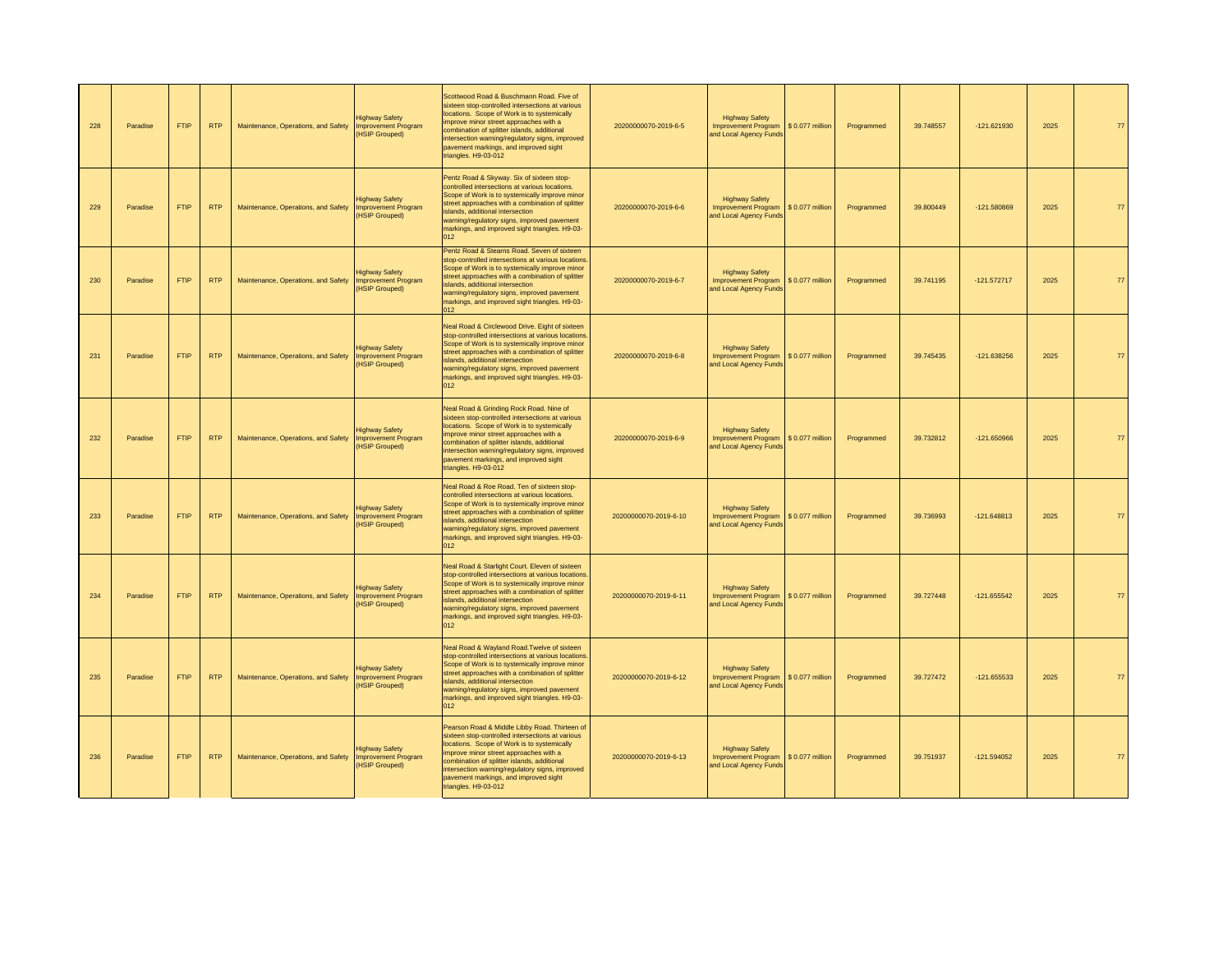| 228 | Paradise | <b>FTIP</b> | RTP        | Maintenance, Operations, and Safety | <b>Highway Safety</b><br><b>Improvement Program</b><br><b>HSIP Grouped)</b> | Scottwood Road & Buschmann Road. Five of<br>sixteen stop-controlled intersections at various<br>locations. Scope of Work is to systemically<br>improve minor street approaches with a<br>combination of splitter islands, additional<br>ntersection warning/regulatory signs, improved<br>pavement markings, and improved sight<br>riangles. H9-03-012      | 20200000070-2019-6-5  | <b>Highway Safety</b><br>Improvement Program \$ 0.077 million<br>and Local Agency Funds |                  | Programmed | 39.748557 | $-121.621930$ | 2025 | 77 |
|-----|----------|-------------|------------|-------------------------------------|-----------------------------------------------------------------------------|-------------------------------------------------------------------------------------------------------------------------------------------------------------------------------------------------------------------------------------------------------------------------------------------------------------------------------------------------------------|-----------------------|-----------------------------------------------------------------------------------------|------------------|------------|-----------|---------------|------|----|
| 229 | Paradise | <b>FTIP</b> | <b>RTP</b> | Maintenance, Operations, and Safety | <b>Highway Safety</b><br><b>Improvement Program</b><br><b>HSIP Grouped)</b> | Pentz Road & Skyway. Six of sixteen stop-<br>controlled intersections at various locations.<br>Scope of Work is to systemically improve minor<br>street approaches with a combination of splitter<br>islands, additional intersection<br>warning/regulatory signs, improved pavement<br>markings, and improved sight triangles. H9-03-<br>012               | 20200000070-2019-6-6  | <b>Highway Safety</b><br><b>Improvement Program</b><br>and Local Agency Funds           | \$ 0.077 million | Programmed | 39,800449 | $-121.580869$ | 2025 | 77 |
| 230 | Paradise | <b>FTIP</b> | <b>RTP</b> | Maintenance, Operations, and Safety | <b>Highway Safety</b><br><b>Improvement Program</b><br><b>HSIP Grouped)</b> | Pentz Road & Stearns Road. Seven of sixteen<br>stop-controlled intersections at various locations<br>Scope of Work is to systemically improve minor<br>street approaches with a combination of splitter<br>slands, additional intersection<br>warning/regulatory signs, improved pavement<br>markings, and improved sight triangles. H9-03-<br>112          | 20200000070-2019-6-7  | <b>Highway Safety</b><br><b>Improvement Program</b><br>and Local Agency Funds           | \$ 0.077 million | Programmed | 39.741195 | $-121.572717$ | 2025 | 77 |
| 231 | Paradise | <b>FTIP</b> | <b>RTP</b> | Maintenance, Operations, and Safety | <b>Highway Safety</b><br><b>Improvement Program</b><br><b>ISIP Grouped)</b> | Neal Road & Circlewood Drive. Eight of sixteen<br>stop-controlled intersections at various locations.<br>Scope of Work is to systemically improve minor<br>street approaches with a combination of splitter<br>islands, additional intersection<br>warning/regulatory signs, improved pavement<br>markings, and improved sight triangles. H9-03-<br>012     | 20200000070-2019-6-8  | <b>Highway Safety</b><br><b>Improvement Program</b><br>and Local Agency Funds           | \$ 0.077 million | Programmed | 39.745435 | $-121.638256$ | 2025 | 77 |
| 232 | Paradise | <b>FTIP</b> | <b>RTP</b> | Maintenance, Operations, and Safety | <b>Highway Safety</b><br><b>Improvement Program</b><br><b>HSIP Grouped)</b> | Neal Road & Grinding Rock Road. Nine of<br>sixteen stop-controlled intersections at various<br>locations. Scope of Work is to systemically<br>improve minor street approaches with a<br>ombination of splitter islands, additional<br>ntersection warning/regulatory signs, improved<br>pavement markings, and improved sight<br>triangles. H9-03-012       | 20200000070-2019-6-9  | <b>Highway Safety</b><br>Improvement Program \$ 0.077 million<br>and Local Agency Funds |                  | Programmed | 39.732812 | $-121.650966$ | 2025 | 77 |
| 233 | Paradise | <b>FTIP</b> | <b>RTP</b> | Maintenance, Operations, and Safety | Highway Safety<br><b>Improvement Program</b><br><b>HSIP Grouped)</b>        | Neal Road & Roe Road. Ten of sixteen stop-<br>controlled intersections at various locations.<br>Scope of Work is to systemically improve minor<br>street approaches with a combination of splitter<br>islands, additional intersection<br>warning/regulatory signs, improved pavement<br>markings, and improved sight triangles. H9-03-<br>012              | 20200000070-2019-6-10 | <b>Highway Safety</b><br>Improvement Program \$ 0.077 million<br>and Local Agency Funds |                  | Programmed | 39.736993 | $-121.648813$ | 2025 | 77 |
| 234 | Paradise | <b>FTIP</b> | <b>RTP</b> | Maintenance, Operations, and Safety | <b>Highway Safety</b><br>Improvement Program<br><b>ISIP Grouped)</b>        | Neal Road & Starlight Court. Eleven of sixteen<br>stop-controlled intersections at various locations.<br>Scope of Work is to systemically improve minor<br>street approaches with a combination of splitter<br>slands, additional intersection<br>warning/regulatory signs, improved pavement<br>markings, and improved sight triangles. H9-03-<br>012      | 20200000070-2019-6-11 | <b>Highway Safety</b><br><b>Improvement Program</b><br>and Local Agency Funds           | \$ 0.077 million | Programmed | 39.727448 | $-121.655542$ | 2025 | 77 |
| 235 | Paradise | <b>FTIP</b> | <b>RTP</b> | Maintenance, Operations, and Safety | <b>Highway Safety</b><br><b>Improvement Program</b><br><b>HSIP Grouped)</b> | Neal Road & Wayland Road. Twelve of sixteen<br>stop-controlled intersections at various locations<br>Scope of Work is to systemically improve minor<br>street approaches with a combination of splitter<br>islands, additional intersection<br>warning/regulatory signs, improved pavement<br>markings, and improved sight triangles. H9-03-<br>012         | 20200000070-2019-6-12 | <b>Highway Safety</b><br>Improvement Program \$ 0.077 million<br>and Local Agency Funds |                  | Programmed | 39.727472 | $-121.655533$ | 2025 | 77 |
| 236 | Paradise | <b>FTIP</b> | <b>RTP</b> | Maintenance, Operations, and Safety | <b>Highway Safety</b><br><b>Improvement Program</b><br><b>HSIP Grouped)</b> | Pearson Road & Middle Libby Road. Thirteen of<br>sixteen stop-controlled intersections at various<br>locations. Scope of Work is to systemically<br>mprove minor street approaches with a<br>combination of splitter islands, additional<br>ntersection warning/regulatory signs, improved<br>pavement markings, and improved sight<br>triangles. H9-03-012 | 20200000070-2019-6-13 | <b>Highway Safety</b><br><b>Improvement Program</b><br>and Local Agency Fund:           | \$ 0.077 million | Programmed | 39.751937 | $-121.594052$ | 2025 | 77 |